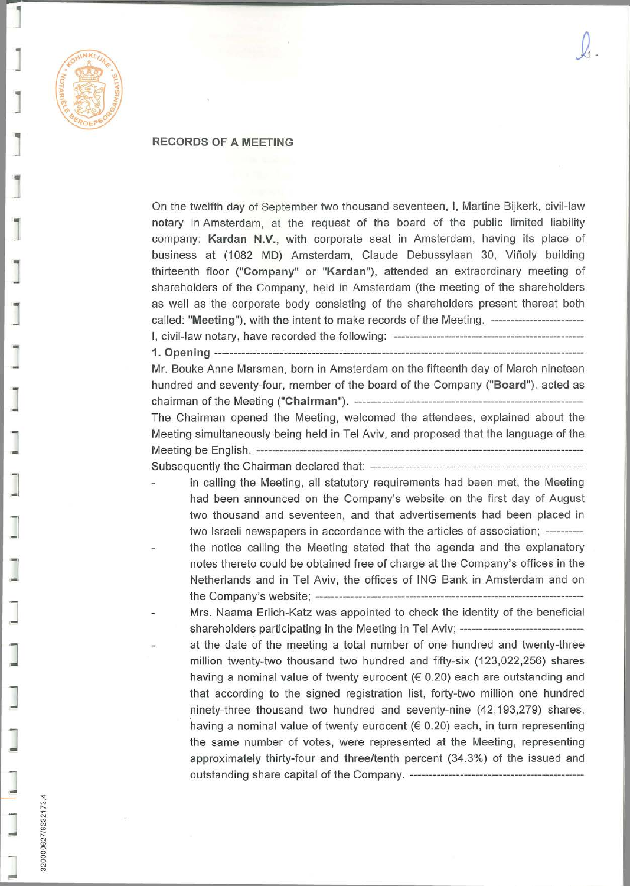

320000627/6232173.4

## **RECORDS OF A MEETING**

On the twelfth day of September two thousand seventeen, I, Martine Bijkerk, civil-law notary in Amsterdam, at the request of the board of the public limited liability company: **Kardan N.V.,** with corporate seat in Amsterdam, having its place of business at (1082 MD) Amsterdam, Claude Debussylaan 30, Viñoly building thirteenth floor **("Company"** or **"Kardan"),** attended an extraordinary meeting of shareholders of the Company, held in Amsterdam (the meeting of the shareholders as well as the corporate body consisting of the sharéholders present thereat both called: **"Meeting"),** with the intent to make records of the Meeting. — I, civil-law notary, have recorded the following: —~

**1. Opening —** 

Mr. Bouke Anne Marsman, born in Amsterdam on the fifteenth day of March nineteen hundred and seventy-four, member of the board of the Company **("Board"),** acted as chairman of the Meeting **("Chairman"). —**  The Chairman opened the Meeting, welcomed the attendees, explained about the Meeting simultaneously being held in Tel Aviv, and proposed that the language of the Meeting be English. — . Subsequently the Chairman declared that:

in caliing the Meeting, all statutory requirements had been met, the Meeting had been announced on the Company's website on the first day of August two thousand and seventeen, and that advertisements had been placed in two Israeli newspapers in accordance with the articles of association; ----------

the notice caliing the Meeting stated that the agenda and the explanatory notes thereto could be obtained free of charge at the Company's offices in the Netherlands and in Tel Aviv, the offices of ING Bank in Amsterdam and on the Company's website; -——— — — -—

Mrs. Naama Erlich-Katz was appointed to check the identity of the beneficial shareholders participating in the Meeting in Tel Aviv; ------------------------------at the date of the meeting a total number of one hundred and twenty-three million twenty-two thousand two hundred and fifty-six (123,022,256) shares having a nominal value of twenty eurocent ( $\in$  0.20) each are outstanding and that according to the signed registration list, forty-two million one hundred ninety-three thousand two hundred and seventy-nine (42,193,279) shares, having a nominal value of twenty eurocent (€ 0.20) each, in turn representing the same number of votes, were represented at the Meeting, representing approximately thirty-four and three/tenth percent (34.3%) of the issued and outstanding share capital of the Company. ~——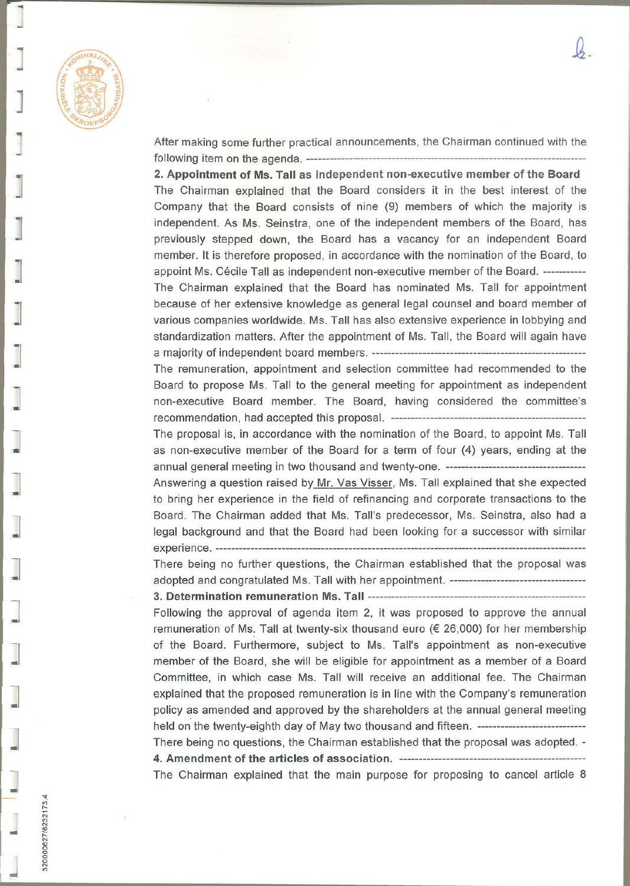

After making some further practical announcements, the Chairman continued with the following item on the agenda. — -

 $-2$ 

2. Appointment of Ms. Tall as independent non-executive member of the Board The Chairman explained that the Board considers it in the best interest of the Company that the Board consists of nine (9) members of which the majority is independent. As Ms. Seinstra, one of the independent members of the Board, has previously stepped down, the Board has a vacancy for an independent Board member. It is therefore proposed, in accordance with the nomination of the Board, to appoint Ms. Cécile Tall as independent non-executive member of the Board. — The Chairman explained that the Board has nominated Ms. Tall for appointment because of her extensive knowledge as general legal counsel and board member of various companies woridwide. Ms. Tall has also extensive experience in lobbying and standardization matters. After the appointment of Ms. Tall, the Board will again have a majority of independent board members. ———

The remuneration, appointment and selection committee had recommended to the Board to propose Ms. Tall to the general meeting for appointment as independent non-executive Board member. The Board, having considered the committee's recommendation, had accepted this proposal. ——

The proposal is, in accordance with the nomination of the Board, to appoint Ms. Tall as non-executive member of the Board for a term of four (4) years, ending at the annual general meeting in two thousand and twenty-one.

Answering a question raised bv Mr. Vas Visser, Ms. Tall explained that she expected to bring her experience in the field of refinancing and corporate transactions to the Board. The Chairman added that Ms. Tall's predecessor, Ms. Seinstra, also had a legal background and that the Board had been looking for a successor with similar experience. \_

There being no further questions, the Chairman established that the proposal was adopted and congratulated Ms. Tall with her appointment.

**3. Determination remuneration Ms. Tall —** 

Following the approval of agenda item 2, it was proposed to approve the annual remuneration of Ms. Tall at twenty-six thousand euro ( $\epsilon$  26,000) for her membership of the Board. Furthermore, subject to Ms. Tall's appointment as non-executive member of the Board, she will be eligible for appointment as a member of a Board Committee, in which case Ms. Tall will receive an additional fee. The Chairman explained that the proposed remuneration is in line with the Company's remuneration poiicy as amended and approved by the sharéholders at the annual general meeting held on the twenty-eighth day of May two thousand and fifteen. ----------------------------There being no questions, the Chairman established that the proposal was adopted. - **4. Amendment of the articles of association. ——**  The Chairman explained that the main purpose for proposing to cancel article 8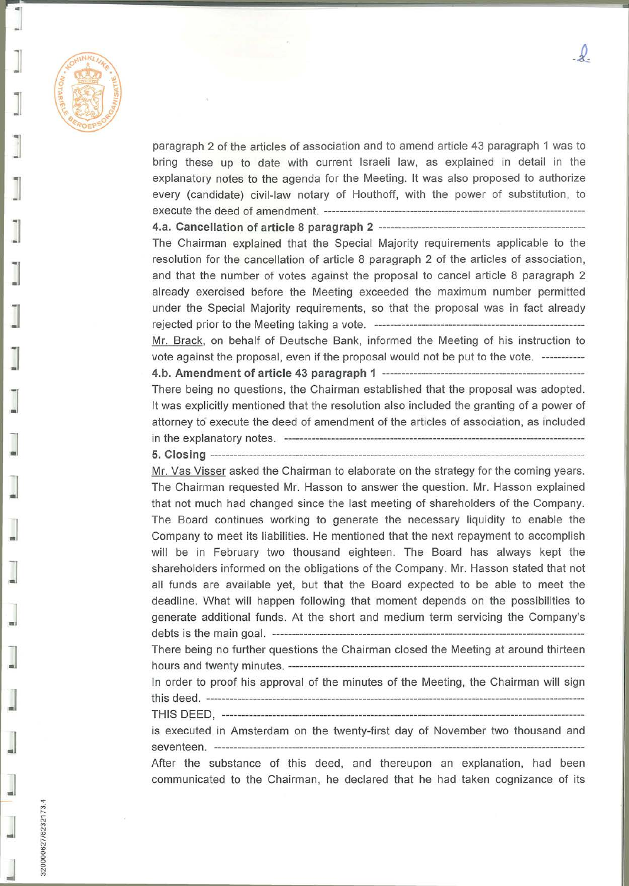

320000627/6232173.4

paragraph 2 of the articles of association and to amend article 43 paragraph 1 was to bring these up to date with current Israeli law, as explained in detail in the explanatory notes to the agenda for the Meeting. It was also proposed to authorize every (candidate) civil-law notary of Houthoff, with the power of substitution, to execute the deed of amendment. ——

**4.a. Cancellation of article 8 paragraph 2** 

The Chairman explained that the Special Majority requirements applicable to the resolution for the cancellation of article 8 paragraph 2 of the articles of association, and that the number of votes against the proposal to cancel article 8 paragraph 2 already exercised before the Meeting exceeded the maximum number permitted under the Special Majority requirements, so that the proposal was in fact already rejected prior to the Meeting taking a vote. ——— —

Mr. Brack, on behalf of Deutsche Bank, informed the Meeting of his instruction to vote against the proposal, even if the proposal would not be put to the vote.

**4. b. Amendment of article 43 paragraph 1 — ——**  There being no questions, the Chairman established that the proposal was adopted. It was explicitly mentioned that the resolution also included the granting of a power of attorney to execute the deed of amendment of the articles of association, as included in the explanatory notes. — -— **5. Closing — — -——-**

Mr. Vas Visser asked the Chairman to elaborate on the strategy for the coming years. The Chairman requested Mr. Hasson to answer the question. Mr. Hasson explained that not much had changed since the last meeting of sharéholders of the Company. The Board continues working to generate the necessary liquidity to enable the Company to meet its liabilities. He mentioned that the next repayment to accomplish will be in February two thousand eighteen. The Board has always kept the sharéholders informed on the obligations of the Company. Mr. Hasson stated that not all funds are available yet, but that the Board expected to be able to meet the deadline. What will happen following that moment depends on the possibilities to generate additional funds. At the short and medium term servicing the Company's debts is the main goal. —— — — There being no further questions the Chairman closed the Meeting at around thirteen hours and twenty minutes. In order to proof his approval of the minutes of the Meeting, the Chairman will sign this deed. — —— ———\_ — - THIS DEED, — —————- — — -

is executed in Amsterdam on the twenty-first day of November two thousand and seventeen. — —~

After the substance of this deed, and thereupon an explanation, had been communicated to the Chairman, he declared that he had taken cognizance of its